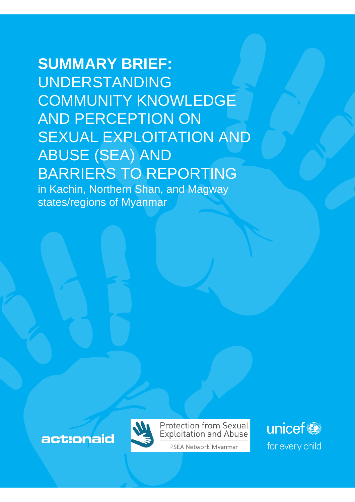# **SUMMARY BRIEF:** UNDERSTANDING COMMUNITY KNOWLEDGE AND PERCEPTION ON SEXUAL EXPLOITATION AND ABUSE (SEA) AND BARRIERS TO REPORTING

in Kachin, Northern Shan, and Magway states/regions of Myanmar

act:onaid



**Protection from Sexual Exploitation and Abuse** 

PSEA Network Myanmar

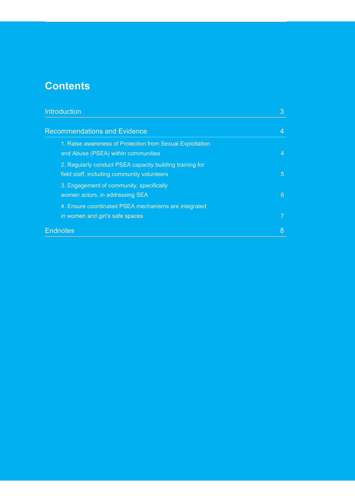# **Contents**

| Introduction                                                                                            | 3 |
|---------------------------------------------------------------------------------------------------------|---|
| <b>Recommendations and Evidence</b>                                                                     |   |
| 1. Raise awareness of Protection from Sexual Exploitation<br>and Abuse (PSEA) within communities        | 4 |
| 2. Regularly conduct PSEA capacity building training for<br>field staff, including community volunteers | 5 |
| 3. Engagement of community, specifically<br>women actors, in addressing SEA                             | 6 |
| 4. Ensure coordinated PSEA mechanisms are integrated<br>in women and girl's safe spaces                 |   |
| <b>Endnotes</b>                                                                                         | 8 |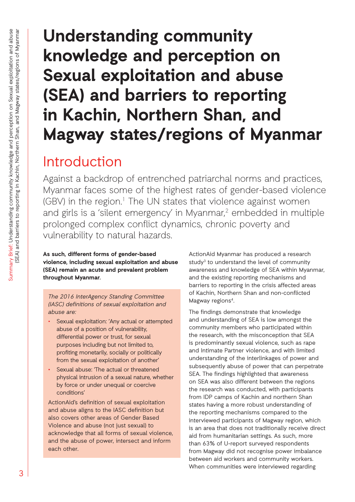# **Understanding community knowledge and perception on Sexual exploitation and abuse (SEA) and barriers to reporting in Kachin, Northern Shan, and Magway states/regions of Myanmar**

# Introduction

Against a backdrop of entrenched patriarchal norms and practices, Myanmar faces some of the highest rates of gender-based violence (GBV) in the region.<sup>1</sup> The UN states that violence against women and girls is a 'silent emergency' in Myanmar,<sup>2</sup> embedded in multiple prolonged complex conflict dynamics, chronic poverty and vulnerability to natural hazards.

**As such, different forms of gender-based violence, including sexual exploitation and abuse (SEA) remain an acute and prevalent problem throughout Myanmar.** 

*The 2016 InterAgency Standing Committee (IASC) definitions of sexual exploitation and abuse are:*

- Sexual exploitation: 'Any actual or attempted abuse of a position of vulnerability, differential power or trust, for sexual purposes including but not limited to, profiting monetarily, socially or politically from the sexual exploitation of another'
- Sexual abuse: The actual or threatened physical intrusion of a sexual nature, whether by force or under unequal or coercive conditions'

ActionAid's definition of sexual exploitation and abuse aligns to the IASC definition but also covers other areas of Gender Based Violence and abuse (not just sexual) to acknowledge that all forms of sexual violence, and the abuse of power, intersect and inform each other.

ActionAid Myanmar has produced a research study<sup>3</sup> to understand the level of community awareness and knowledge of SEA within Myanmar, and the existing reporting mechanisms and barriers to reporting in the crisis affected areas of Kachin, Northern Shan and non-conflicted Magway regions<sup>4</sup>.

The findings demonstrate that knowledge and understanding of SEA is low amongst the community members who participated within the research, with the misconception that SEA is predominantly sexual violence, such as rape and Intimate Partner violence, and with limited understanding of the interlinkages of power and subsequently abuse of power that can perpetrate SEA. The findings highlighted that awareness on SEA was also different between the regions the research was conducted, with participants from IDP camps of Kachin and northern Shan states having a more robust understanding of the reporting mechanisms compared to the interviewed participants of Magway region, which is an area that does not traditionally receive direct aid from humanitarian settings. As such, more than 63% of U-report surveyed respondents from Magway did not recognise power imbalance between aid workers and community workers. When communities were interviewed regarding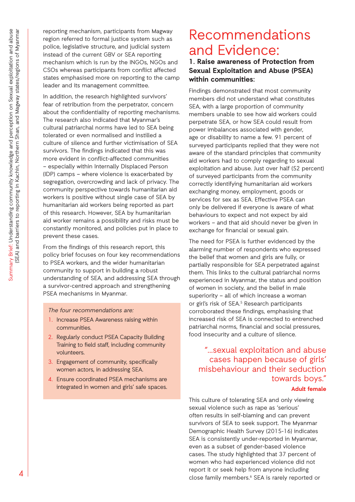reporting mechanism, participants from Magway region referred to formal justice system such as police, legislative structure, and judicial system instead of the current GBV or SEA reporting mechanism which is run by the INGOs, NGOs and CSOs whereas participants from conflict affected states emphasised more on reporting to the camp leader and its management committee.

In addition, the research highlighted survivors' fear of retribution from the perpetrator, concern about the confidentiality of reporting mechanisms. The research also indicated that Myanmar's cultural patriarchal norms have led to SEA being tolerated or even normalised and instilled a culture of silence and further victimisation of SEA survivors. The findings indicated that this was more evident in conflict-affected communities – especially within Internally Displaced Person (IDP) camps – where violence is exacerbated by segregation, overcrowding and lack of privacy. The community perspective towards humanitarian aid workers is positive without single case of SEA by humanitarian aid workers being reported as part of this research. However, SEA by humanitarian aid worker remains a possibility and risks must be constantly monitored, and policies put in place to prevent these cases.

From the findings of this research report, this policy brief focuses on four key recommendations to PSEA workers, and the wider humanitarian community to support in building a robust understanding of SEA, and addressing SEA through a survivor-centred approach and strengthening PSEA mechanisms in Myanmar.

#### *The four recommendations are:*

- 1. Increase PSEA Awareness raising within communities.
- 2. Regularly conduct PSEA Capacity Building Training to field staff, including community volunteers.
- 3. Engagement of community, specifically women actors, in addressing SEA.
- 4. Ensure coordinated PSEA mechanisms are integrated in women and girls' safe spaces.

# Recommendations and Evidence:

**1. Raise awareness of Protection from Sexual Exploitation and Abuse (PSEA) within communities:**

Findings demonstrated that most community members did not understand what constitutes SEA, with a large proportion of community members unable to see how aid workers could perpetrate SEA, or how SEA could result from power imbalances associated with gender, age or disability to name a few. 91 percent of surveyed participants replied that they were not aware of the standard principles that community aid workers had to comply regarding to sexual exploitation and abuse. Just over half (52 percent) of surveyed participants from the community correctly identifying humanitarian aid workers exchanging money, employment, goods or services for sex as SEA. Effective PSEA can only be delivered if everyone is aware of what behaviours to expect and not expect by aid workers – and that aid should never be given in exchange for financial or sexual gain.

The need for PSEA is further evidenced by the alarming number of respondents who expressed the belief that women and girls are fully, or partially responsible for SEA perpetrated against them. This links to the cultural patriarchal norms experienced in Myanmar, the status and position of women in society, and the belief in male superiority – all of which increase a woman or girl's risk of SEA.<sup>5</sup> Research participants corroborated these findings, emphasising that increased risk of SEA is connected to entrenched patriarchal norms, financial and social pressures, food insecurity and a culture of silence.

## "…sexual exploitation and abuse cases happen because of girls' misbehaviour and their seduction towards boys."

**Adult female**

This culture of tolerating SEA and only viewing sexual violence such as rape as 'serious' often results in self-blaming and can prevent survivors of SEA to seek support. The Myanmar Demographic Health Survey (2015-16) indicates SEA is consistently under-reported in Myanmar, even as a subset of gender-based violence cases. The study highlighted that 37 percent of women who had experienced violence did not report it or seek help from anyone including close family members.<sup>6</sup> SEA is rarely reported or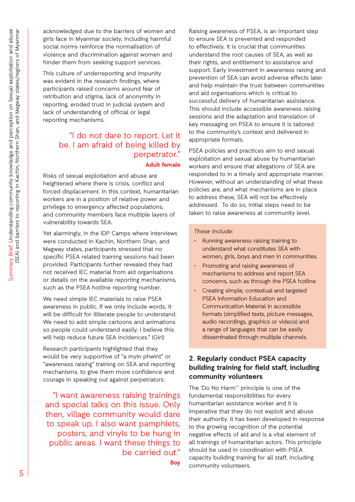acknowledged due to the barriers of women and girls face in Myanmar society, including harmful social norms reinforce the normalisation of violence and discrimination against women and hinder them from seeking support services.

This culture of underreporting and impunity was evident in the research findings, where participants raised concerns around fear of retribution and stigma, lack of anonymity in reporting, eroded trust in judicial system and lack of understanding of official or legal reporting mechanisms.

## "I do not dare to report. Let it be. I am afraid of being killed by perpetrator." **Adult female**

Risks of sexual exploitation and abuse are heightened where there is crisis, conflict and forced displacement. In this context, humanitarian workers are in a position of relative power and privilege to emergency affected populations, and community members face multiple layers of vulnerability towards SEA.

Yet alarmingly, in the IDP Camps where interviews were conducted in Kachin, Northern Shan, and Magway states, participants stressed that no specific PSEA related training sessions had been provided. Participants further revealed they had not received IEC material from aid organisations or details on the available reporting mechanisms, such as the PSEA hotline reporting number.

We need simple IEC materials to raise PSEA awareness in public. If we only include words, it will be difficult for illiterate people to understand. We need to add simple cartoons and animations so people could understand easily. I believe this will help reduce future SEA incidences." (Girl)

Research participants highlighted that they would be very supportive of "a myin phwint" or "awareness raising" training on SEA and reporting mechanisms, to give them more confidence and courage in speaking out against perpetrators:

"I want awareness raising trainings and special talks on this issue. Only then, village community would dare to speak up. I also want pamphlets, posters, and vinyls to be hung in public areas. I want these things to be carried out." **Boy**

Raising awareness of PSEA, is an important step to ensure SEA is prevented and responded to effectively. It is crucial that communities understand the root causes of SEA, as well as their rights, and entitlement to assistance and support. Early investment in awareness raising and prevention of SEA can avoid adverse effects later and help maintain the trust between communities and aid organisations which is critical to successful delivery of humanitarian assistance. This should include accessible awareness raising sessions and the adaptation and translation of key messaging on PSEA to ensure it is tailored to the community's context and delivered in appropriate formats.

PSEA policies and practices aim to end sexual exploitation and sexual abuse by humanitarian workers and ensure that allegations of SEA are responded to in a timely and appropriate manner. However, without an understanding of what these policies are, and what mechanisms are in place to address these, SEA will not be effectively addressed. To do so, initial steps need to be taken to raise awareness at community level.

#### *These include:*

- Running awareness raising training to understand what constitutes SEA with women, girls, boys and men in communities.
- Promoting and raising awareness of mechanisms to address and report SEA concerns, such as through the PSEA hotline.
- Creating simple, contextual and targeted PSEA Information Education and Communication Material in accessible formats (simplified texts, picture messages, audio recordings, graphics or videos) and a range of languages that can be easily disseminated through multiple channels.

### **2. Regularly conduct PSEA capacity building training for field staff, including community volunteers**

The 'Do No Harm'<sup>7</sup> principle is one of the fundamental responsibilities for every humanitarian assistance worker and it is imperative that they do not exploit and abuse their authority. It has been developed in response to the growing recognition of the potential negative effects of aid and is a vital element of all trainings of humanitarian actors. This principle should be used in coordination with PSEA capacity building training for all staff, including community volunteers.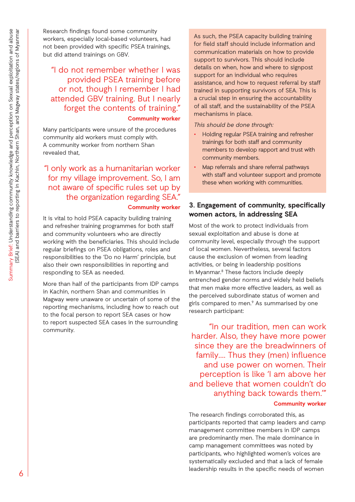Research findings found some community workers, especially local-based volunteers, had not been provided with specific PSEA trainings, but did attend trainings on GBV.

### "I do not remember whether I was provided PSEA training before or not, though I remember I had attended GBV training. But I nearly forget the contents of training." **Community worker**

Many participants were unsure of the procedures community aid workers must comply with. A community worker from northern Shan revealed that,

"I only work as a humanitarian worker for my village improvement. So, I am not aware of specific rules set up by the organization regarding SEA." **Community worker** 

It is vital to hold PSEA capacity building training and refresher training programmes for both staff and community volunteers who are directly working with the beneficiaries. This should include regular briefings on PSEA obligations, roles and responsibilities to the 'Do no Harm' principle, but also their own responsibilities in reporting and responding to SEA as needed.

More than half of the participants from IDP camps in Kachin, northern Shan and communities in Magway were unaware or uncertain of some of the reporting mechanisms, including how to reach out to the focal person to report SEA cases or how to report suspected SEA cases in the surrounding community.

As such, the PSEA capacity building training for field staff should include information and communication materials on how to provide support to survivors. This should include details on when, how and where to signpost support for an individual who requires assistance, and how to request referral by staff trained in supporting survivors of SEA. This is a crucial step in ensuring the accountability of all staff, and the sustainability of the PSEA mechanisms in place.

*This should be done through:*

- Holding regular PSEA training and refresher trainings for both staff and community members to develop rapport and trust with community members.
- Map referrals and share referral pathways with staff and volunteer support and promote these when working with communities.

### **3. Engagement of community, specifically women actors, in addressing SEA**

Most of the work to protect individuals from sexual exploitation and abuse is done at community level, especially through the support of local women. Nevertheless, several factors cause the exclusion of women from leading activities, or being in leadership positions in Myanmar.<sup>8</sup> These factors include deeply entrenched gender norms and widely held beliefs that men make more effective leaders, as well as the perceived subordinate status of women and girls compared to men.<sup>9</sup> As summarised by one research participant:

"In our tradition, men can work harder. Also, they have more power since they are the breadwinners of family…. Thus they (men) influence and use power on women. Their perception is like 'I am above her and believe that women couldn't do anything back towards them.'"

#### **Community worker**

The research findings corroborated this, as participants reported that camp leaders and camp management committee members in IDP camps are predominantly men. The male dominance in camp management committees was noted by participants, who highlighted women's voices are systematically excluded and that a lack of female leadership results in the specific needs of women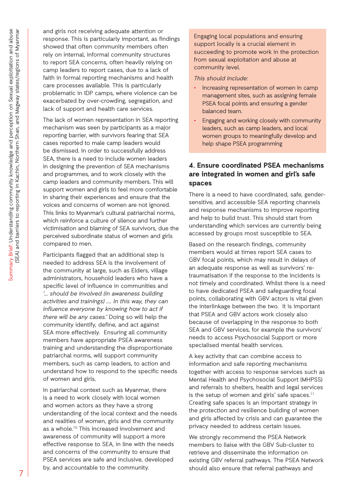and girls not receiving adequate attention or response. This is particularly important, as findings showed that often community members often rely on internal, informal community structures to report SEA concerns, often heavily relying on camp leaders to report cases, due to a lack of faith in formal reporting mechanisms and health care processes available. This is particularly problematic in IDP camps, where violence can be exacerbated by over-crowding, segregation, and lack of support and health care services.

The lack of women representation in SEA reporting mechanism was seen by participants as a major reporting barrier, with survivors fearing that SEA cases reported to male camp leaders would be dismissed. In order to successfully address SEA, there is a need to include women leaders in designing the prevention of SEA mechanisms and programmes, and to work closely with the camp leaders and community members. This will support women and girls to feel more comfortable in sharing their experiences and ensure that the voices and concerns of women are not ignored. This links to Myanmar's cultural patriarchal norms, which reinforce a culture of silence and further victimisation and blaming of SEA survivors, due the perceived subordinate status of women and girls compared to men.

Participants flagged that an additional step is needed to address SEA is the involvement of the community at large, such as Elders, village administrators, household leaders who have a specific level of influence in communities and *'... should be involved (in awareness building activities and trainings) …. In this way, they can influence everyone by knowing how to act if there will be any cases.'* Doing so will help the community identify, define, and act against SEA more effectively. Ensuring all community members have appropriate PSEA awareness training and understanding the disproportionate patriarchal norms, will support community members, such as camp leaders, to action and understand how to respond to the specific needs of women and girls.

In patriarchal context such as Myanmar, there is a need to work closely with local women and women actors as they have a strong understanding of the local context and the needs and realities of women, girls and the community as a whole.<sup>10</sup> This increased involvement and awareness of community will support a more effective response to SEA, in line with the needs and concerns of the community to ensure that PSEA services are safe and inclusive, developed by, and accountable to the community.

Engaging local populations and ensuring support locally is a crucial element in succeeding to promote work in the protection from sexual exploitation and abuse at community level.

#### *This should include:*

- Increasing representation of women in camp management sites, such as assigning female PSEA focal points and ensuring a gender balanced team.
- Engaging and working closely with community leaders, such as camp leaders, and local women groups to meaningfully develop and help shape PSEA programming

### **4. Ensure coordinated PSEA mechanisms are integrated in women and girl's safe spaces**

There is a need to have coordinated, safe, gendersensitive, and accessible SEA reporting channels and response mechanisms to improve reporting and help to build trust. This should start from understanding which services are currently being accessed by groups most susceptible to SEA.

Based on the research findings, community members would at times report SEA cases to GBV focal points, which may result in delays of an adequate response as well as survivors' retraumatisation if the response to the incidents is not timely and coordinated. Whilst there is a need to have dedicated PSEA and safeguarding focal points, collaborating with GBV actors is vital given the interlinkage between the two. It is important that PSEA and GBV actors work closely also because of overlapping in the response to both SEA and GBV services, for example the survivors' needs to access Psychosocial Support or more specialised mental health services.

A key activity that can combine access to information and safe reporting mechanisms together with access to response services such as Mental Health and Psychosocial Support (MHPSS) and referrals to shelters, health and legal services is the setup of women and girls' safe spaces.<sup>11</sup> Creating safe spaces is an important strategy in the protection and resilience building of women and girls affected by crisis and can guarantee the privacy needed to address certain issues.

We strongly recommend the PSEA Network members to liaise with the GBV Sub-cluster to retrieve and disseminate the information on existing GBV referral pathways. The PSEA Network should also ensure that referral pathways and